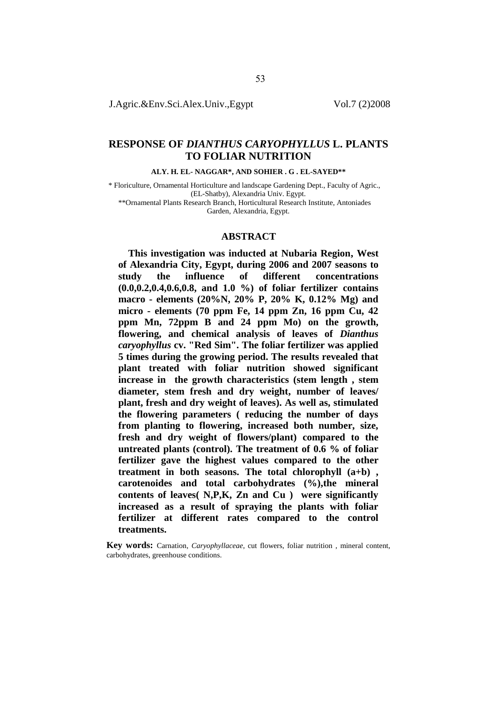# **RESPONSE OF** *DIANTHUS CARYOPHYLLUS* **L. PLANTS TO FOLIAR NUTRITION**

#### **ALY. H. EL- NAGGAR\*, AND SOHIER . G . EL-SAYED\*\***

\* Floriculture, Ornamental Horticulture and landscape Gardening Dept., Faculty of Agric., (EL-Shatby), Alexandria Univ. Egypt.

\*\*Ornamental Plants Research Branch, Horticultural Research Institute, Antoniades Garden, Alexandria, Egypt.

### **ABSTRACT**

 **This investigation was inducted at Nubaria Region, West of Alexandria City, Egypt, during 2006 and 2007 seasons to study the influence of different concentrations (0.0,0.2,0.4,0.6,0.8, and 1.0 %) of foliar fertilizer contains macro - elements (20%N, 20% P, 20% K, 0.12% Mg) and micro - elements (70 ppm Fe, 14 ppm Zn, 16 ppm Cu, 42 ppm Mn, 72ppm B and 24 ppm Mo) on the growth, flowering, and chemical analysis of leaves of** *Dianthus caryophyllus* **cv. "Red Sim". The foliar fertilizer was applied 5 times during the growing period. The results revealed that plant treated with foliar nutrition showed significant increase in the growth characteristics (stem length , stem diameter, stem fresh and dry weight, number of leaves/ plant, fresh and dry weight of leaves). As well as, stimulated the flowering parameters ( reducing the number of days from planting to flowering, increased both number, size, fresh and dry weight of flowers/plant) compared to the untreated plants (control). The treatment of 0.6 % of foliar fertilizer gave the highest values compared to the other**  treatment in both seasons. The total chlorophyll  $(a+b)$ , **carotenoides and total carbohydrates (%),the mineral contents of leaves( N,P,K, Zn and Cu ) were significantly increased as a result of spraying the plants with foliar fertilizer at different rates compared to the control treatments.** 

**Key words:** Carnation, *Caryophyllaceae*, cut flowers, foliar nutrition , mineral content, carbohydrates, greenhouse conditions.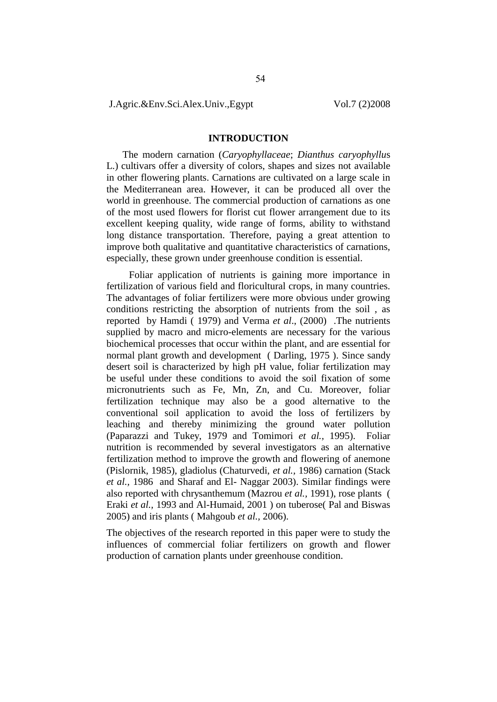#### **INTRODUCTION**

 The modern carnation (*Caryophyllaceae*; *Dianthus caryophyllu*s L.) cultivars offer a diversity of colors, shapes and sizes not available in other flowering plants. Carnations are cultivated on a large scale in the Mediterranean area. However, it can be produced all over the world in greenhouse. The commercial production of carnations as one of the most used flowers for florist cut flower arrangement due to its excellent keeping quality, wide range of forms, ability to withstand long distance transportation. Therefore, paying a great attention to improve both qualitative and quantitative characteristics of carnations, especially, these grown under greenhouse condition is essential.

Foliar application of nutrients is gaining more importance in fertilization of various field and floricultural crops, in many countries. The advantages of foliar fertilizers were more obvious under growing conditions restricting the absorption of nutrients from the soil , as reported by Hamdi ( 1979) and Verma *et al*., (2000) .The nutrients supplied by macro and micro-elements are necessary for the various biochemical processes that occur within the plant, and are essential for normal plant growth and development ( Darling, 1975 ). Since sandy desert soil is characterized by high pH value, foliar fertilization may be useful under these conditions to avoid the soil fixation of some micronutrients such as Fe, Mn, Zn, and Cu. Moreover, foliar fertilization technique may also be a good alternative to the conventional soil application to avoid the loss of fertilizers by leaching and thereby minimizing the ground water pollution (Paparazzi and Tukey, 1979 and Tomimori *et al.,* 1995). Foliar nutrition is recommended by several investigators as an alternative fertilization method to improve the growth and flowering of anemone (Pislornik, 1985), gladiolus (Chaturvedi, *et al.,* 1986) carnation (Stack *et al.,* 1986 and Sharaf and El- Naggar 2003). Similar findings were also reported with chrysanthemum (Mazrou *et al.,* 1991), rose plants ( Eraki *et al.,* 1993 and Al-Humaid, 2001 ) on tuberose( Pal and Biswas 2005) and iris plants ( Mahgoub *et al.,* 2006).

The objectives of the research reported in this paper were to study the influences of commercial foliar fertilizers on growth and flower production of carnation plants under greenhouse condition.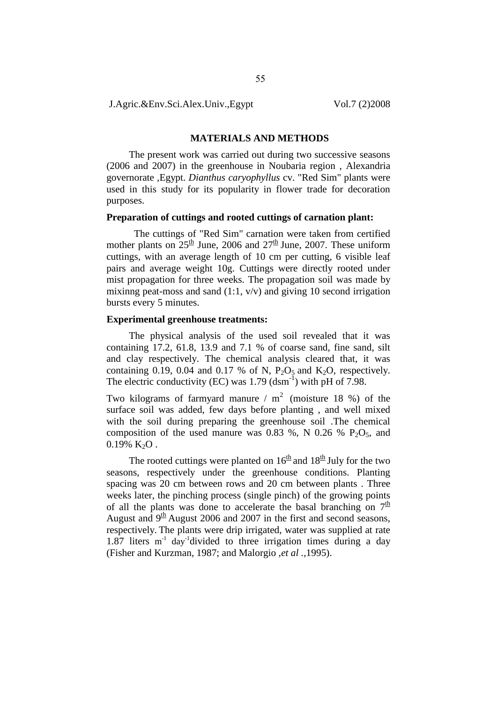#### **MATERIALS AND METHODS**

The present work was carried out during two successive seasons (2006 and 2007) in the greenhouse in Noubaria region , Alexandria governorate ,Egypt. *Dianthus caryophyllus* cv. "Red Sim" plants were used in this study for its popularity in flower trade for decoration purposes.

### **Preparation of cuttings and rooted cuttings of carnation plant:**

 The cuttings of "Red Sim" carnation were taken from certified mother plants on  $25<sup>th</sup>$  June, 2006 and  $27<sup>th</sup>$  June, 2007. These uniform cuttings, with an average length of 10 cm per cutting, 6 visible leaf pairs and average weight 10g. Cuttings were directly rooted under mist propagation for three weeks. The propagation soil was made by mixinng peat-moss and sand  $(1:1, v/v)$  and giving 10 second irrigation bursts every 5 minutes.

### **Experimental greenhouse treatments:**

The physical analysis of the used soil revealed that it was containing 17.2, 61.8, 13.9 and 7.1 % of coarse sand, fine sand, silt and clay respectively. The chemical analysis cleared that, it was containing 0.19, 0.04 and 0.17 % of N,  $P_2O_5$  and  $K_2O$ , respectively. The electric conductivity (EC) was  $1.79$  (dsm<sup>-1</sup>) with pH of 7.98.

Two kilograms of farmyard manure /  $m^2$  (moisture 18 %) of the surface soil was added, few days before planting , and well mixed with the soil during preparing the greenhouse soil .The chemical composition of the used manure was 0.83 %, N 0.26 %  $P_2O_5$ , and  $0.19\%~K_2O$ .

The rooted cuttings were planted on  $16<sup>th</sup>$  and  $18<sup>th</sup>$  July for the two seasons, respectively under the greenhouse conditions. Planting spacing was 20 cm between rows and 20 cm between plants . Three weeks later, the pinching process (single pinch) of the growing points of all the plants was done to accelerate the basal branching on  $7<sup>th</sup>$ August and  $9<sup>th</sup>$  August 2006 and 2007 in the first and second seasons, respectively. The plants were drip irrigated, water was supplied at rate 1.87 liters  $m^{-1}$  day<sup>-1</sup>divided to three irrigation times during a day (Fisher and Kurzman, 1987; and Malorgio ,*et al .,*1995).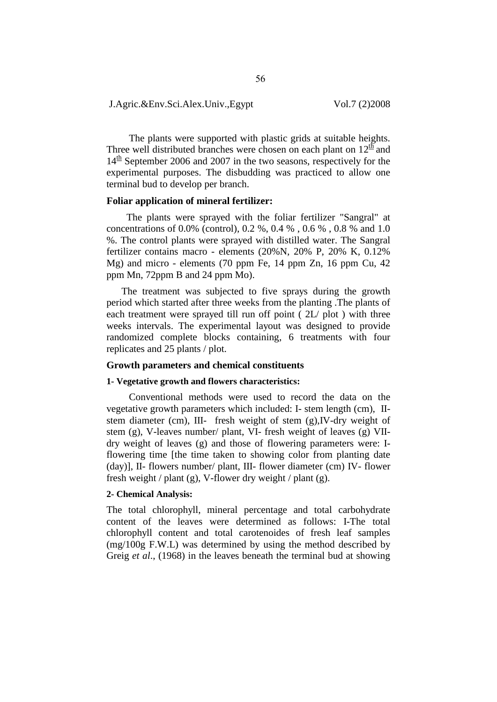The plants were supported with plastic grids at suitable heights. Three well distributed branches were chosen on each plant on  $12^{\frac{th}{n}}$  and 14<sup>th</sup> September 2006 and 2007 in the two seasons, respectively for the experimental purposes. The disbudding was practiced to allow one terminal bud to develop per branch.

### **Foliar application of mineral fertilizer:**

 The plants were sprayed with the foliar fertilizer "Sangral" at concentrations of 0.0% (control), 0.2 %, 0.4 % , 0.6 % , 0.8 % and 1.0 %. The control plants were sprayed with distilled water. The Sangral fertilizer contains macro - elements (20%N, 20% P, 20% K, 0.12% Mg) and micro - elements (70 ppm Fe, 14 ppm Zn, 16 ppm Cu, 42 ppm Mn, 72ppm B and 24 ppm Mo).

 The treatment was subjected to five sprays during the growth period which started after three weeks from the planting .The plants of each treatment were sprayed till run off point ( 2L/ plot ) with three weeks intervals. The experimental layout was designed to provide randomized complete blocks containing, 6 treatments with four replicates and 25 plants / plot.

### **Growth parameters and chemical constituents**

#### **1- Vegetative growth and flowers characteristics:**

Conventional methods were used to record the data on the vegetative growth parameters which included: I- stem length (cm), IIstem diameter (cm), III- fresh weight of stem (g),IV-dry weight of stem (g), V-leaves number/ plant, VI- fresh weight of leaves (g) VIIdry weight of leaves (g) and those of flowering parameters were: Iflowering time [the time taken to showing color from planting date (day)], II- flowers number/ plant, III- flower diameter (cm) IV- flower fresh weight / plant (g), V-flower dry weight / plant (g).

### **2- Chemical Analysis:**

The total chlorophyll, mineral percentage and total carbohydrate content of the leaves were determined as follows: I-The total chlorophyll content and total carotenoides of fresh leaf samples (mg/100g F.W.L) was determined by using the method described by Greig *et al*., (1968) in the leaves beneath the terminal bud at showing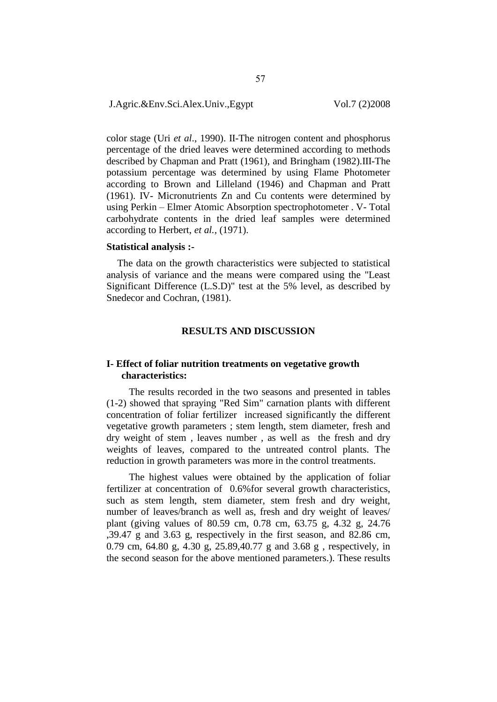color stage (Uri *et al*., 1990). II-The nitrogen content and phosphorus percentage of the dried leaves were determined according to methods described by Chapman and Pratt (1961), and Bringham (1982).III-The potassium percentage was determined by using Flame Photometer according to Brown and Lilleland (1946) and Chapman and Pratt (1961). IV- Micronutrients Zn and Cu contents were determined by using Perkin – Elmer Atomic Absorption spectrophotometer . V- Total carbohydrate contents in the dried leaf samples were determined according to Herbert, *et al.,* (1971).

### **Statistical analysis :-**

The data on the growth characteristics were subjected to statistical analysis of variance and the means were compared using the "Least Significant Difference (L.S.D)" test at the 5% level, as described by Snedecor and Cochran, (1981).

## **RESULTS AND DISCUSSION**

## **I- Effect of foliar nutrition treatments on vegetative growth characteristics:**

The results recorded in the two seasons and presented in tables (1-2) showed that spraying "Red Sim" carnation plants with different concentration of foliar fertilizer increased significantly the different vegetative growth parameters ; stem length, stem diameter, fresh and dry weight of stem , leaves number , as well as the fresh and dry weights of leaves, compared to the untreated control plants. The reduction in growth parameters was more in the control treatments.

The highest values were obtained by the application of foliar fertilizer at concentration of 0.6%for several growth characteristics, such as stem length, stem diameter, stem fresh and dry weight, number of leaves/branch as well as, fresh and dry weight of leaves/ plant (giving values of 80.59 cm, 0.78 cm, 63.75 g, 4.32 g, 24.76 ,39.47 g and 3.63 g, respectively in the first season, and 82.86 cm, 0.79 cm, 64.80 g, 4.30 g, 25.89,40.77 g and 3.68 g , respectively, in the second season for the above mentioned parameters.). These results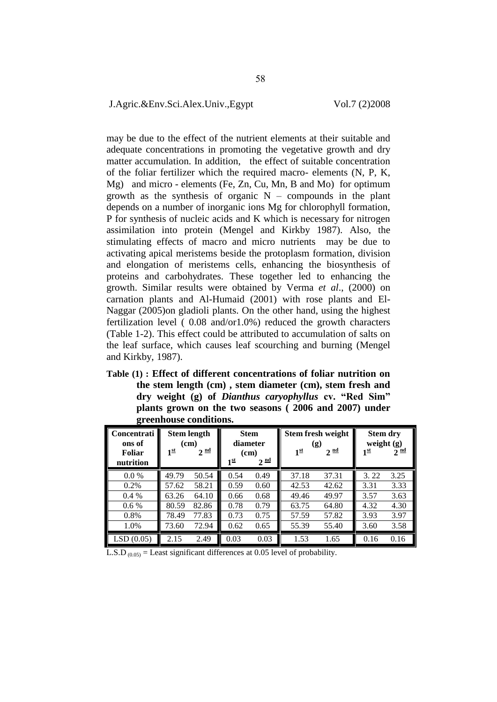may be due to the effect of the nutrient elements at their suitable and adequate concentrations in promoting the vegetative growth and dry matter accumulation. In addition, the effect of suitable concentration of the foliar fertilizer which the required macro- elements (N, P, K, Mg) and micro - elements (Fe, Zn, Cu, Mn, B and Mo) for optimum growth as the synthesis of organic  $N -$  compounds in the plant depends on a number of inorganic ions Mg for chlorophyll formation, P for synthesis of nucleic acids and K which is necessary for nitrogen assimilation into protein (Mengel and Kirkby 1987). Also, the stimulating effects of macro and micro nutrients may be due to activating apical meristems beside the protoplasm formation, division and elongation of meristems cells, enhancing the biosynthesis of proteins and carbohydrates. These together led to enhancing the growth. Similar results were obtained by Verma *et al*., (2000) on carnation plants and Al-Humaid (2001) with rose plants and El-Naggar (2005)on gladioli plants. On the other hand, using the highest fertilization level ( 0.08 and/or1.0%) reduced the growth characters (Table 1-2). This effect could be attributed to accumulation of salts on the leaf surface, which causes leaf scourching and burning (Mengel and Kirkby, 1987).

**Table (1) : Effect of different concentrations of foliar nutrition on the stem length (cm) , stem diameter (cm), stem fresh and dry weight (g) of** *Dianthus caryophyllus* **cv. "Red Sim" plants grown on the two seasons ( 2006 and 2007) under greenhouse conditions.**

| 'oncentrati<br>ons of      |                 | Stem length<br>(cm) | <b>Stem</b><br>diameter                    |      | Stem fresh weight<br>(g) |                    | <b>Stem dry</b><br>weight $(g)$ |                    |
|----------------------------|-----------------|---------------------|--------------------------------------------|------|--------------------------|--------------------|---------------------------------|--------------------|
| <b>Foliar</b><br>nutrition | 1 <sup>st</sup> | 2 <sup>nd</sup>     | (cm)<br>1 <sup>st</sup><br>2 <sup>nd</sup> |      | 1 <sup>st</sup>          | $2 \underline{nd}$ | 1 <sup>st</sup>                 | $2 \underline{nd}$ |
| $0.0\%$                    | 49.79           | 50.54               | 0.54                                       | 0.49 | 37.18                    | 37.31              | 3.22                            | 3.25               |
| 0.2%                       | 57.62           | 58.21               | 0.59                                       | 0.60 | 42.53                    | 42.62              | 3.31                            | 3.33               |
| $0.4\%$                    | 63.26           | 64.10               | 0.66                                       | 0.68 | 49.46                    | 49.97              | 3.57                            | 3.63               |
| $0.6\%$                    | 80.59           | 82.86               | 0.78                                       | 0.79 | 63.75                    | 64.80              | 4.32                            | 4.30               |
| 0.8%                       | 78.49           | 77.83               | 0.73                                       | 0.75 | 57.59                    | 57.82              | 3.93                            | 3.97               |
| 1.0%                       | 73.60           | 72.94               | 0.62                                       | 0.65 | 55.39                    | 55.40              | 3.60                            | 3.58               |
| SD(0.05)                   | 2.15            | 2.49                | 0.03                                       | 0.03 | 1.53                     | 1.65               | 0.16                            | 0.16               |

L.S.D  $_{(0.05)}$  = Least significant differences at 0.05 level of probability.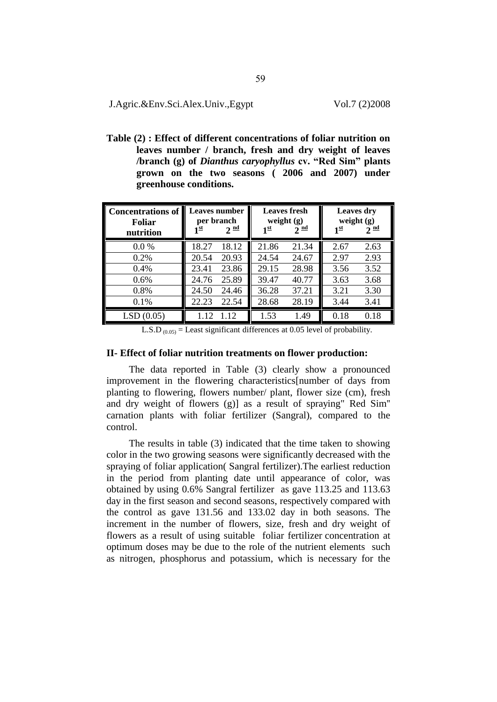**Table (2) : Effect of different concentrations of foliar nutrition on leaves number / branch, fresh and dry weight of leaves /branch (g) of** *Dianthus caryophyllus* **cv. "Red Sim" plants grown on the two seasons ( 2006 and 2007) under greenhouse conditions.** 

| <b>Concentrations of</b><br><b>Foliar</b><br>nutrition | 1 <sup>st</sup> | <b>Leaves number</b><br>per branch<br>2 <sub>nd</sub> | 1 <sup>st</sup> | <b>Leaves fresh</b><br>weight $(g)$<br>2 <sup>nd</sup> | <b>Leaves dry</b><br>weight $(g)$<br>1 <sup>st</sup> | 2 <sup>nd</sup> |
|--------------------------------------------------------|-----------------|-------------------------------------------------------|-----------------|--------------------------------------------------------|------------------------------------------------------|-----------------|
| $0.0\%$                                                | 18.27           | 18.12                                                 | 21.86           | 21.34                                                  | 2.67                                                 | 2.63            |
| 0.2%                                                   | 20.54           | 20.93                                                 | 24.54           | 24.67                                                  | 2.97                                                 | 2.93            |
| 0.4%                                                   | 23.41           | 23.86                                                 | 29.15           | 28.98                                                  | 3.56                                                 | 3.52            |
| 0.6%                                                   | 24.76           | 25.89                                                 | 39.47           | 40.77                                                  | 3.63                                                 | 3.68            |
| 0.8%                                                   | 24.50           | 24.46                                                 | 36.28           | 37.21                                                  | 3.21                                                 | 3.30            |
| 0.1%                                                   | 22.23           | 22.54                                                 | 28.68           | 28.19                                                  | 3.44                                                 | 3.41            |
| LSD(0.05)                                              | 1 1 2           | $\overline{12}$                                       | 1.53            | 1.49                                                   | 0.18                                                 | 0.18            |

**L.S.D**  $_{(0.05)}$  = Least significant differences at 0.05 level of probability.

## **II- Effect of foliar nutrition treatments on flower production:**

The data reported in Table (3) clearly show a pronounced improvement in the flowering characteristics[number of days from planting to flowering, flowers number/ plant, flower size (cm), fresh and dry weight of flowers (g)] as a result of spraying" Red Sim'' carnation plants with foliar fertilizer (Sangral), compared to the control.

The results in table (3) indicated that the time taken to showing color in the two growing seasons were significantly decreased with the spraying of foliar application( Sangral fertilizer).The earliest reduction in the period from planting date until appearance of color, was obtained by using 0.6% Sangral fertilizer as gave 113.25 and 113.63 day in the first season and second seasons, respectively compared with the control as gave 131.56 and 133.02 day in both seasons. The increment in the number of flowers, size, fresh and dry weight of flowers as a result of using suitable foliar fertilizer concentration at optimum doses may be due to the role of the nutrient elements such as nitrogen, phosphorus and potassium, which is necessary for the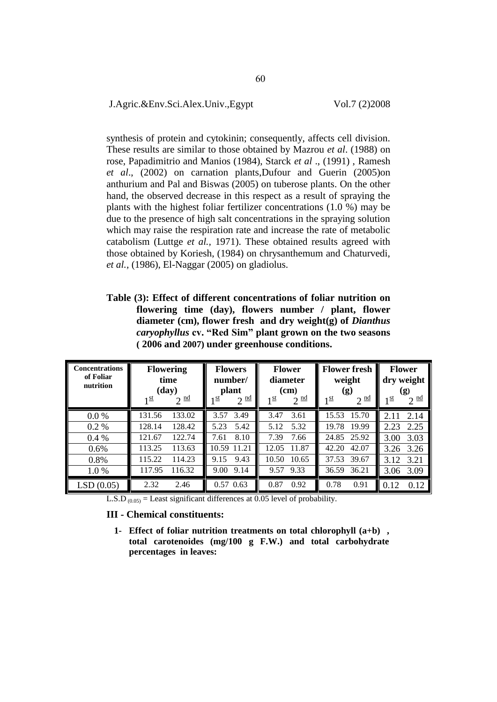synthesis of protein and cytokinin; consequently, affects cell division. These results are similar to those obtained by Mazrou *et al*. (1988) on rose, Papadimitrio and Manios (1984), Starck *et al* ., (1991) , Ramesh *et al*., (2002) on carnation plants,Dufour and Guerin (2005)on anthurium and Pal and Biswas (2005) on tuberose plants. On the other hand, the observed decrease in this respect as a result of spraying the plants with the highest foliar fertilizer concentrations (1.0 %) may be due to the presence of high salt concentrations in the spraying solution which may raise the respiration rate and increase the rate of metabolic catabolism (Luttge *et al.,* 1971). These obtained results agreed with those obtained by Koriesh, (1984) on chrysanthemum and Chaturvedi, *et al.,* (1986), El-Naggar (2005) on gladiolus.

**Table (3): Effect of different concentrations of foliar nutrition on flowering time (day), flowers number / plant, flower diameter (cm), flower fresh and dry weight(g) of** *Dianthus caryophyllus* **cv. "Red Sim" plant grown on the two seasons ( 2006 and 2007) under greenhouse conditions.**

| <b>Concentrations</b><br>of Foliar<br>nutrition | <b>Flowering</b><br>time<br>$(\bf{day})$<br>$1^{\underline{\text{st}}}$<br>$2 \frac{nd}{ }$ |        | <b>Flowers</b><br>number/<br>plant<br>$2 \frac{nd}{ }$<br><u>n st</u> |             | <b>Flower</b><br>diameter<br>(cm)<br><u>1 st</u><br>2 <sup>nd</sup> |       | <b>Flower fresh</b><br>weight<br>(g)<br>$1^{\underline{\text{st}}}$<br>2 <sup>nd</sup> |             | <b>Flower</b><br>dry weight<br>(g)<br>$2 \underline{nd}$<br>1 st |      |
|-------------------------------------------------|---------------------------------------------------------------------------------------------|--------|-----------------------------------------------------------------------|-------------|---------------------------------------------------------------------|-------|----------------------------------------------------------------------------------------|-------------|------------------------------------------------------------------|------|
| 0.0 %                                           | 131.56                                                                                      | 133.02 | 3.57                                                                  | 3.49        | 3.47                                                                | 3.61  | 15.53                                                                                  | 15.70       | 2.11                                                             | 2.14 |
| 0.2 %                                           | 128.14                                                                                      | 128.42 | 5.23                                                                  | 5.42        | 5.12                                                                | 5.32  | 19.78                                                                                  | 19.99       | 2.23                                                             | 2.25 |
| 0.4%                                            | 121.67                                                                                      | 122.74 | 7.61                                                                  | 8.10        | 7.39                                                                | 7.66  |                                                                                        | 24.85 25.92 | 3.00                                                             | 3.03 |
| $0.6\%$                                         | 113.25                                                                                      | 113.63 |                                                                       | 10.59 11.21 | 12.05                                                               | 11.87 | 42.20                                                                                  | 42.07       | 3.26                                                             | 3.26 |
| 0.8%                                            | 115.22                                                                                      | 114.23 | 9.15                                                                  | 9.43        | 10.50                                                               | 10.65 | 37.53                                                                                  | 39.67       | 3.12                                                             | 3.21 |
| 1.0%                                            | 117.95                                                                                      | 116.32 | 9.00                                                                  | 9.14        | 9.57                                                                | 9.33  | 36.59                                                                                  | 36.21       | 3.06                                                             | 3.09 |
| LSD(0.05)                                       | 2.32                                                                                        | 2.46   |                                                                       | $0.57$ 0.63 | 0.87                                                                | 0.92  | 0.78                                                                                   | 0.91        | 0.12                                                             | 0.12 |

L.S.D  $_{(0.05)}$  = Least significant differences at 0.05 level of probability.

### **III - Chemical constituents:**

**1- Effect of foliar nutrition treatments on total chlorophyll (a+b) , total carotenoides (mg/100 g F.W.) and total carbohydrate percentages in leaves:**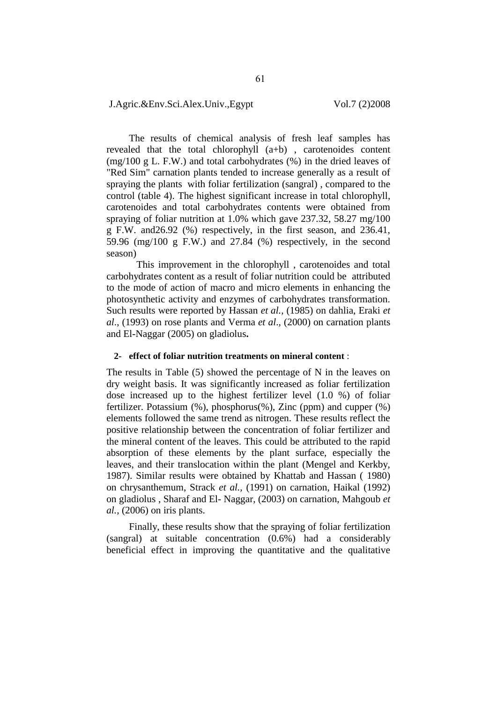The results of chemical analysis of fresh leaf samples has revealed that the total chlorophyll (a+b) , carotenoides content (mg/100 g L. F.W.) and total carbohydrates (%) in the dried leaves of "Red Sim" carnation plants tended to increase generally as a result of spraying the plants with foliar fertilization (sangral) , compared to the control (table 4). The highest significant increase in total chlorophyll, carotenoides and total carbohydrates contents were obtained from spraying of foliar nutrition at 1.0% which gave 237.32, 58.27 mg/100 g F.W. and26.92 (%) respectively, in the first season, and 236.41, 59.96 (mg/100 g F.W.) and 27.84 (%) respectively, in the second season)

This improvement in the chlorophyll , carotenoides and total carbohydrates content as a result of foliar nutrition could be attributed to the mode of action of macro and micro elements in enhancing the photosynthetic activity and enzymes of carbohydrates transformation. Such results were reported by Hassan *et al.,* (1985) on dahlia, Eraki *et al*., (1993) on rose plants and Verma *et al*., (2000) on carnation plants and El-Naggar (2005) on gladiolus**.**

### **2- effect of foliar nutrition treatments on mineral content** :

The results in Table (5) showed the percentage of N in the leaves on dry weight basis. It was significantly increased as foliar fertilization dose increased up to the highest fertilizer level (1.0 %) of foliar fertilizer. Potassium  $(\%)$ , phosphorus $(\%)$ . Zinc (ppm) and cupper  $(\%)$ elements followed the same trend as nitrogen. These results reflect the positive relationship between the concentration of foliar fertilizer and the mineral content of the leaves. This could be attributed to the rapid absorption of these elements by the plant surface, especially the leaves, and their translocation within the plant (Mengel and Kerkby, 1987). Similar results were obtained by Khattab and Hassan ( 1980) on chrysanthemum, Strack *et al.,* (1991) on carnation, Haikal (1992) on gladiolus , Sharaf and El- Naggar, (2003) on carnation, Mahgoub *et al.,* (2006) on iris plants.

Finally, these results show that the spraying of foliar fertilization (sangral) at suitable concentration (0.6%) had a considerably beneficial effect in improving the quantitative and the qualitative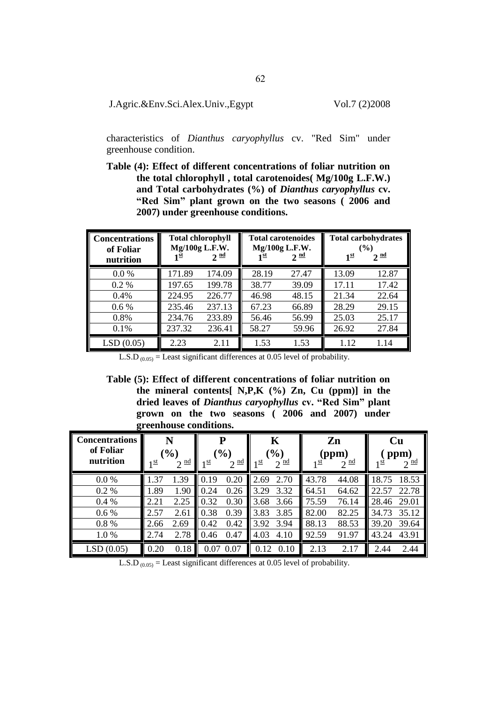characteristics of *Dianthus caryophyllus* cv. "Red Sim" under greenhouse condition.

**Table (4): Effect of different concentrations of foliar nutrition on the total chlorophyll , total carotenoides( Mg/100g L.F.W.) and Total carbohydrates (%) of** *Dianthus caryophyllus* **cv. "Red Sim" plant grown on the two seasons ( 2006 and 2007) under greenhouse conditions.**

| <b>Concentrations</b><br>of Foliar<br>nutrition | <b>Total chlorophyll</b><br>Mg/100g L.F.W.<br>$2^{\frac{nd}{}}$<br>1 <sup>st</sup> |        | <b>Total carotenoides</b><br>Mg/100g L.F.W.<br>$2^{\frac{nd}{}}$<br>1 <sup>st</sup> |       | <b>Total carbohydrates</b><br>$($ %)<br>2 <sup>nd</sup><br>1 <sup>st</sup> |       |  |
|-------------------------------------------------|------------------------------------------------------------------------------------|--------|-------------------------------------------------------------------------------------|-------|----------------------------------------------------------------------------|-------|--|
| 0.0 %                                           | 171.89                                                                             | 174.09 | 28.19                                                                               | 27.47 | 13.09                                                                      | 12.87 |  |
| $0.2\%$                                         | 197.65                                                                             | 199.78 | 38.77                                                                               | 39.09 | 17.11                                                                      | 17.42 |  |
| 0.4%                                            | 224.95                                                                             | 226.77 | 46.98                                                                               | 48.15 | 21.34                                                                      | 22.64 |  |
| $0.6\%$                                         | 235.46                                                                             | 237.13 | 67.23                                                                               | 66.89 | 28.29                                                                      | 29.15 |  |
| 0.8%                                            | 234.76                                                                             | 233.89 | 56.46                                                                               | 56.99 | 25.03                                                                      | 25.17 |  |
| 0.1%                                            | 237.32                                                                             | 236.41 | 58.27                                                                               | 59.96 | 26.92                                                                      | 27.84 |  |
| LSD(0.05)                                       | 2.23                                                                               | 2.11   | 1.53                                                                                | 1.53  | 1 1 2                                                                      | 1.14  |  |

L.S.D  $_{(0.05)}$  = Least significant differences at 0.05 level of probability.

**Table (5): Effect of different concentrations of foliar nutrition on the mineral contents[ N,P,K (%) Zn, Cu (ppm)] in the dried leaves of** *Dianthus caryophyllus* **cv. "Red Sim" plant grown on the two seasons ( 2006 and 2007) under greenhouse conditions.** 

| <b>Concentrations</b><br>of Foliar<br>nutrition | N<br>$\mathcal{O}(6)$<br>∣ <u>st</u><br>2 <sup>nd</sup> |      | ${\bf P}$<br>$\mathcal{O}_0$<br><u>1 st</u><br>$\gamma$ nd |      | K<br>$\left(\frac{0}{0}\right)$<br>2 <sup>nd</sup><br>1 st |      | Zn<br>(ppm)<br>2 <sup>nd</sup><br><u>1 st</u> |       | Cu<br>ppm)<br>2 <sup>nd</sup><br>1 <u>st</u> |       |
|-------------------------------------------------|---------------------------------------------------------|------|------------------------------------------------------------|------|------------------------------------------------------------|------|-----------------------------------------------|-------|----------------------------------------------|-------|
| 0.0 %                                           | 1.37                                                    | 1.39 | 0.19                                                       | 0.20 | 2.69                                                       | 2.70 | 43.78                                         | 44.08 | 18.75                                        | 18.53 |
| 0.2 %                                           | 1.89                                                    | 1.90 | 0.24                                                       | 0.26 | 3.29                                                       | 3.32 | 64.51                                         | 64.62 | 22.57                                        | 22.78 |
| 0.4%                                            | 2.21                                                    | 2.25 | 0.32                                                       | 0.30 | 3.68                                                       | 3.66 | 75.59                                         | 76.14 | 28.46                                        | 29.01 |
| 0.6 %                                           | 2.57                                                    | 2.61 | 0.38                                                       | 0.39 | 3.83                                                       | 3.85 | 82.00                                         | 82.25 | 34.73                                        | 35.12 |
| 0.8%                                            | 2.66                                                    | 2.69 | 0.42                                                       | 0.42 | 3.92                                                       | 3.94 | 88.13                                         | 88.53 | 39.20                                        | 39.64 |
| 1.0%                                            | 2.74                                                    | 2.78 | 0.46                                                       | 0.47 | 4.03                                                       | 4.10 | 92.59                                         | 91.97 | 43.24                                        | 43.91 |
| LSD(0.05)                                       | 0.20                                                    | 0.18 | 0.07                                                       | 0.07 | 0.12                                                       | 0.10 | 2.13                                          | 2.17  | 2.44                                         | 2.44  |

L.S.D  $_{(0.05)}$  = Least significant differences at 0.05 level of probability.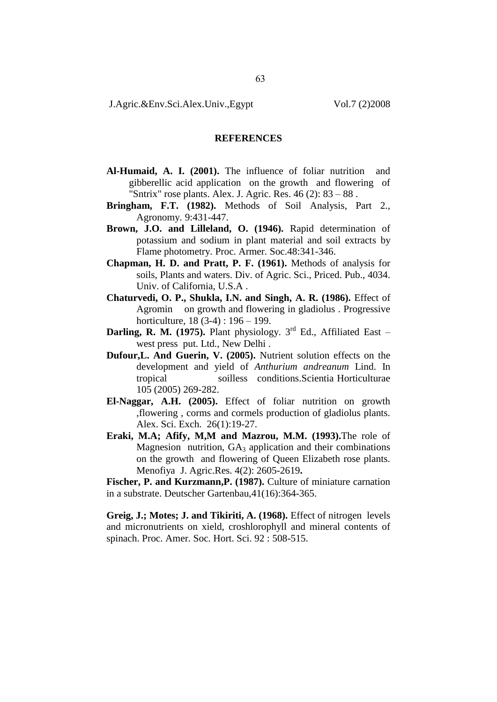#### **REFERENCES**

- **Al-Humaid, A. I. (2001).** The influence of foliar nutrition and gibberellic acid application on the growth and flowering of "Sntrix" rose plants. Alex. J. Agric. Res.  $46(2)$ :  $83 - 88$ .
- **Bringham, F.T. (1982).** Methods of Soil Analysis, Part 2., Agronomy. 9:431-447.
- **Brown, J.O. and Lilleland, O. (1946).** Rapid determination of potassium and sodium in plant material and soil extracts by Flame photometry. Proc. Armer. Soc.48:341-346.
- **Chapman, H. D. and Pratt, P. F. (1961).** Methods of analysis for soils, Plants and waters. Div. of Agric. Sci., Priced. Pub., 4034. Univ. of California, U.S.A .
- **Chaturvedi, O. P., Shukla, I.N. and Singh, A. R. (1986).** Effect of Agromin on growth and flowering in gladiolus . Progressive horticulture, 18 (3-4) : 196 – 199.
- **Darling, R. M. (1975).** Plant physiology.  $3<sup>rd</sup>$  Ed., Affiliated East west press put. Ltd., New Delhi .
- **Dufour,L. And Guerin, V. (2005).** Nutrient solution effects on the development and yield of *Anthurium andreanum* Lind. In tropical soilless conditions.Scientia Horticulturae 105 (2005) 269-282.
- **El-Naggar, A.H. (2005).** Effect of foliar nutrition on growth ,flowering , corms and cormels production of gladiolus plants. Alex. Sci. Exch. 26(1):19-27.
- **Eraki, M.A; Afify, M,M and Mazrou, M.M. (1993).**The role of Magnesion nutrition,  $GA_3$  application and their combinations on the growth and flowering of Queen Elizabeth rose plants. Menofiya J. Agric.Res. 4(2): 2605-2619**.**

Fischer, P. and Kurzmann, P. (1987). Culture of miniature carnation in a substrate. Deutscher Gartenbau,41(16):364-365.

**Greig, J.; Motes; J. and Tikiriti, A. (1968).** Effect of nitrogen levels and micronutrients on xield, croshlorophyll and mineral contents of spinach. Proc. Amer. Soc. Hort. Sci. 92 : 508-515.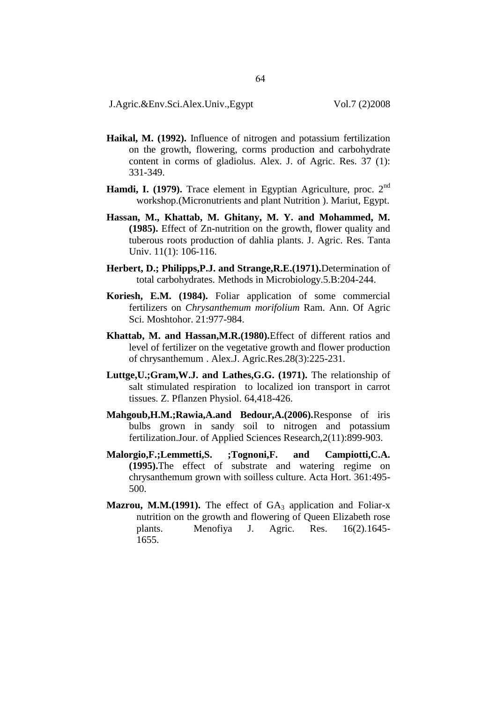- **Haikal, M. (1992).** Influence of nitrogen and potassium fertilization on the growth, flowering, corms production and carbohydrate content in corms of gladiolus. Alex. J. of Agric. Res. 37 (1): 331-349.
- Hamdi, I. (1979). Trace element in Egyptian Agriculture, proc. 2<sup>nd</sup> workshop.(Micronutrients and plant Nutrition ). Mariut, Egypt.
- **Hassan, M., Khattab, M. Ghitany, M. Y. and Mohammed, M. (1985).** Effect of Zn-nutrition on the growth, flower quality and tuberous roots production of dahlia plants. J. Agric. Res. Tanta Univ. 11(1): 106-116.
- **Herbert, D.; Philipps,P.J. and Strange,R.E.(1971).**Determination of total carbohydrates. Methods in Microbiology.5.B:204-244.
- **Koriesh, E.M. (1984).** Foliar application of some commercial fertilizers on *Chrysanthemum morifolium* Ram. Ann. Of Agric Sci. Moshtohor. 21:977-984.
- **Khattab, M. and Hassan,M.R.(1980).**Effect of different ratios and level of fertilizer on the vegetative growth and flower production of chrysanthemum . Alex.J. Agric.Res.28(3):225-231.
- **Luttge,U.;Gram,W.J. and Lathes,G.G. (1971).** The relationship of salt stimulated respiration to localized ion transport in carrot tissues. Z. Pflanzen Physiol. 64,418-426.
- **Mahgoub,H.M.;Rawia,A.and Bedour,A.(2006).**Response of iris bulbs grown in sandy soil to nitrogen and potassium fertilization.Jour. of Applied Sciences Research,2(11):899-903.
- **Malorgio,F.;Lemmetti,S. ;Tognoni,F. and Campiotti,C.A. (1995).**The effect of substrate and watering regime on chrysanthemum grown with soilless culture. Acta Hort. 361:495- 500.
- **Mazrou, M.M.(1991).** The effect of GA<sub>3</sub> application and Foliar-x nutrition on the growth and flowering of Queen Elizabeth rose plants. Menofiya J. Agric. Res. 16(2).1645- 1655.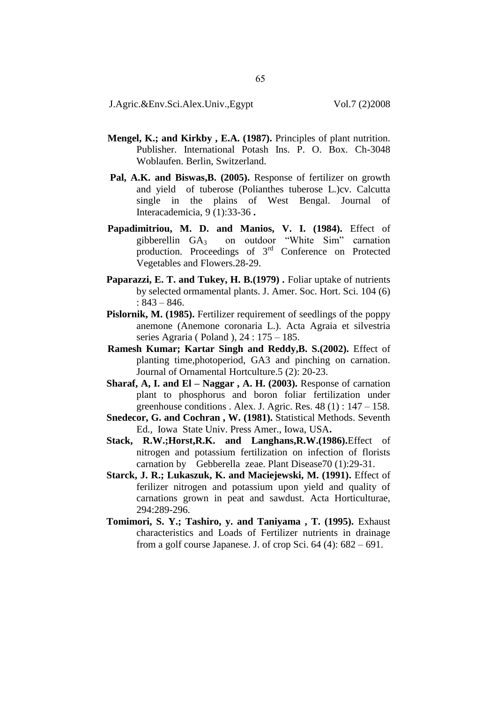- **Mengel, K.; and Kirkby , E.A. (1987).** Principles of plant nutrition. Publisher. International Potash Ins. P. O. Box. Ch-3048 Woblaufen. Berlin, Switzerland.
- Pal, A.K. and Biswas, B. (2005). Response of fertilizer on growth and yield of tuberose (Polianthes tuberose L.)cv. Calcutta single in the plains of West Bengal. Journal of Interacademicia, 9 (1):33-36 **.**
- Papadimitriou, M. D. and Manios, V. I. (1984). Effect of gibberellin GA<sup>3</sup> on outdoor "White Sim" carnation production. Proceedings of 3<sup>rd</sup> Conference on Protected Vegetables and Flowers.28-29.
- Paparazzi, E. T. and Tukey, H. B. (1979). Foliar uptake of nutrients by selected ormamental plants. J. Amer. Soc. Hort. Sci. 104 (6) :  $843 - 846$ .
- **Pislornik, M. (1985).** Fertilizer requirement of seedlings of the poppy anemone (Anemone coronaria L.). Acta Agraia et silvestria series Agraria ( Poland ), 24 : 175 – 185.
- **Ramesh Kumar; Kartar Singh and Reddy,B. S.(2002).** Effect of planting time,photoperiod, GA3 and pinching on carnation. Journal of Ornamental Hortculture.5 (2): 20-23.
- **Sharaf, A, I. and El – Naggar , A. H. (2003).** Response of carnation plant to phosphorus and boron foliar fertilization under greenhouse conditions . Alex. J. Agric. Res. 48 (1) : 147 – 158.
- **Snedecor, G. and Cochran , W. (1981).** Statistical Methods. Seventh Ed., Iowa State Univ. Press Amer., Iowa, USA**.**
- **Stack, R.W.;Horst,R.K. and Langhans,R.W.(1986).**Effect of nitrogen and potassium fertilization on infection of florists carnation by Gebberella zeae. Plant Disease70 (1):29-31.
- **Starck, J. R.; Lukaszuk, K. and Maciejewski, M. (1991).** Effect of ferilizer nitrogen and potassium upon yield and quality of carnations grown in peat and sawdust. Acta Horticulturae, 294:289-296.
- **Tomimori, S. Y.; Tashiro, y. and Taniyama , T. (1995).** Exhaust characteristics and Loads of Fertilizer nutrients in drainage from a golf course Japanese. J. of crop Sci.  $64$  (4):  $682 - 691$ .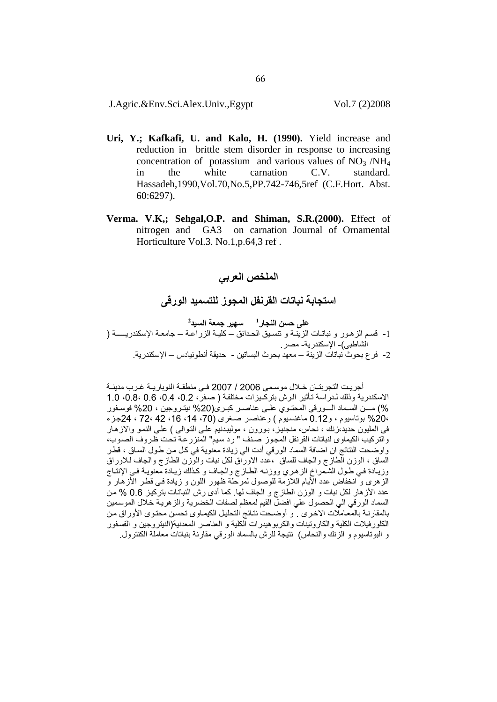- **Uri, Y.; Kafkafi, U. and Kalo, H. (1990).** Yield increase and reduction in brittle stem disorder in response to increasing concentration of potassium and various values of  $NO<sub>3</sub> /NH<sub>4</sub>$ in the white carnation C.V. standard. Hassadeh,1990,Vol.70,No.5,PP.742-746,5ref (C.F.Hort. Abst. 60:6297).
- **Verma. V.K,; Sehgal,O.P. and Shiman, S.R.(2000).** Effect of nitrogen and GA3 on carnation Journal of Ornamental Horticulture Vol.3. No.1,p.64,3 ref .

**الملخص العربي** 

**استجابة نباتات القرنفل المجوز للتسميد الورقى**

**1 على حسن النجار سهير جمعة السيد 2** 1- قسم الزهور و نباتــات الزيّنــة و تنسـيق الـحـدائق – كليــة الزراعــة – جامعــة الإسكندريـــــــة ( الشاطبي)- الإسكندرية- مصر 2- فرع بحوث نباتات الزينة – معهد بحوث البساتين - حديقة أنطونيادس – الإسكندر بة

أجريت التجربتـان خـلال موسمي 2006 / 2007 فـي منطقـة النوباريـة غـرب مدينـة الاسكندرية وذلك لـدراسة تـأثير الرش بتركـيزات مختلفة ( صـفر ، 0.2 ، 0.6 ، 0.6 ، 0.8 ، 1.0 %) مــن السـماد الــورقي المحتـوي علـى عناصـر كبـري(20% نيتـروجين ، 20% فوسـفور ،20% بوتاسيوم ، و0.12 ماغنسيوم ) وعناصر صغرى (70، 14، 16، 42 ،72 ، 24جزء فى المليون حديد،زنك ، نحاس، منجنيز، بورون ، موليبدنيم على النوالي ) على النمو والازهار والتركيب الكيماوي لنباتات القرنفل المجوز صنف " رد سيم" المنزرعة تحت ظروف الصوب، واوضحت النتائج ان اضافة السماد الورقي أدت الى زيادة معنوية في كل من طول الساق ، قطر الساق ، الوزن الّطاز ج والجاف للساق ،عدد الاور اّق لكل نبات و الوّزن الطاز ج و الجاف لـلاور اق وزيـادة فـي طـول الشـّمراخ الزهري ووزنـه الطـازج والجـاف و كـذلك زيـادة معنويـة فـي الإنتـاج .<br>الزهرى و انخفاض عدد الأيام اللازمة للوصول لمرحلة ظهور اللون و زيادة فـى قطر الأزهـار و عدد الأز هار لكل نبات و الوزن الطازج و الجاف لها. كما أدى رش النباتـات بتركيز 0.6 % من السماد الورقي الي الحصول على افضل القيم لمعظم لصفات الخضرية والزهريـة خلال الموسمين بالمقارنـة بالمعاملات الاخرى . و أوضـحت نتـائج التحليل الكيمـاوي تحسن محتوى الأوراق من الكلور فيلات الكلية والكار وتينات والكربو هيدرات الكلية و العناصر المعدنية(النيتر وجين و الفسفور و البوتاسيوم و الزنك والنحاس) نتيجة للرش بالسماد الورقي مقارنة بنباتات معاملة الكنترول.